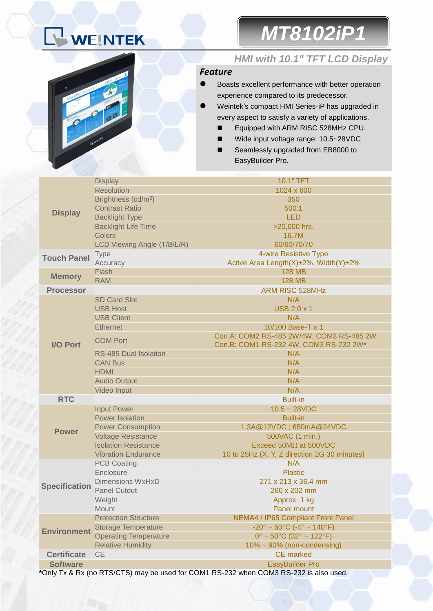# WEINTEK

*MT8102iP1*



### *HMI with 10.1" TFT LCD Display*

#### *Feature*

- Boasts excellent performance with better operation experience compared to its predecessor.
- Weintek's compact HMI Series-iP has upgraded in every aspect to satisfy a variety of applications.
	- Equipped with ARM RISC 528MHz CPU.
	- Wide input voltage range: 10.5~28VDC
	- Seamlessly upgraded from EB8000 to EasyBuilder Pro.

|                                                                                       | <b>Display</b>                  | 10.1" TFT                                                          |  |  |
|---------------------------------------------------------------------------------------|---------------------------------|--------------------------------------------------------------------|--|--|
|                                                                                       | <b>Resolution</b>               | 1024 x 600                                                         |  |  |
|                                                                                       | Brightness (cd/m <sup>2</sup> ) | 350                                                                |  |  |
|                                                                                       | <b>Contrast Ratio</b>           | 500:1                                                              |  |  |
| <b>Display</b>                                                                        | <b>Backlight Type</b>           | <b>LED</b>                                                         |  |  |
|                                                                                       | <b>Backlight Life Time</b>      | >20,000 hrs.                                                       |  |  |
|                                                                                       | <b>Colors</b>                   | 16.7M                                                              |  |  |
|                                                                                       | LCD Viewing Angle (T/B/L/R)     | 60/60/70/70                                                        |  |  |
|                                                                                       | <b>Type</b>                     | 4-wire Resistive Type                                              |  |  |
| <b>Touch Panel</b>                                                                    | Accuracy                        | Active Area Length(X)±2%, Width(Y)±2%                              |  |  |
| <b>Memory</b>                                                                         | Flash                           | <b>128 MB</b>                                                      |  |  |
|                                                                                       | <b>RAM</b>                      | <b>128 MB</b>                                                      |  |  |
| <b>Processor</b>                                                                      |                                 | <b>ARM RISC 528MHz</b>                                             |  |  |
|                                                                                       | <b>SD Card Slot</b>             | N/A                                                                |  |  |
|                                                                                       | <b>USB Host</b>                 | <b>USB 2.0 x 1</b>                                                 |  |  |
|                                                                                       | <b>USB Client</b>               | N/A                                                                |  |  |
|                                                                                       | <b>Ethernet</b>                 | 10/100 Base-T x 1                                                  |  |  |
|                                                                                       |                                 | Con.A: COM2 RS-485 2W/4W, COM3 RS-485 2W                           |  |  |
| <b>I/O Port</b>                                                                       | <b>COM Port</b>                 | Con.B: COM1 RS-232 4W, COM3 RS-232 2W*                             |  |  |
|                                                                                       | <b>RS-485 Dual Isolation</b>    | N/A                                                                |  |  |
|                                                                                       | <b>CAN Bus</b>                  | N/A                                                                |  |  |
|                                                                                       | <b>HDMI</b>                     | N/A                                                                |  |  |
|                                                                                       | <b>Audio Output</b>             | N/A                                                                |  |  |
|                                                                                       | Video Input                     | N/A                                                                |  |  |
| <b>RTC</b>                                                                            |                                 | <b>Built-in</b>                                                    |  |  |
|                                                                                       | <b>Input Power</b>              | $10.5 - 28VDC$                                                     |  |  |
|                                                                                       | Power Isolation                 | <b>Built-in</b>                                                    |  |  |
|                                                                                       | <b>Power Consumption</b>        | 1.3A@12VDC; 650mA@24VDC                                            |  |  |
| <b>Power</b>                                                                          | <b>Voltage Resistance</b>       | 500VAC (1 min.)                                                    |  |  |
|                                                                                       | <b>Isolation Resistance</b>     | Exceed 50M $\Omega$ at 500VDC                                      |  |  |
|                                                                                       | <b>Vibration Endurance</b>      | 10 to 25Hz (X, Y, Z direction 2G 30 minutes)                       |  |  |
| <b>Specification</b>                                                                  | <b>PCB Coating</b>              | N/A                                                                |  |  |
|                                                                                       | Enclosure                       | <b>Plastic</b>                                                     |  |  |
|                                                                                       | <b>Dimensions WxHxD</b>         | 271 x 213 x 36.4 mm                                                |  |  |
|                                                                                       | <b>Panel Cutout</b>             | 260 x 202 mm                                                       |  |  |
|                                                                                       | Weight                          | Approx. 1 kg                                                       |  |  |
|                                                                                       | Mount                           | <b>Panel mount</b>                                                 |  |  |
|                                                                                       | <b>Protection Structure</b>     | <b>NEMA4 / IP65 Compliant Front Panel</b>                          |  |  |
| <b>Environment</b>                                                                    | <b>Storage Temperature</b>      | $-20^{\circ} \sim 60^{\circ}$ C ( $-4^{\circ} \sim 140^{\circ}$ F) |  |  |
|                                                                                       | <b>Operating Temperature</b>    | $0^{\circ}$ ~ 50 $^{\circ}$ C (32 $^{\circ}$ ~ 122 $^{\circ}$ F)   |  |  |
|                                                                                       | <b>Relative Humidity</b>        | $10\% \sim 90\%$ (non-condensing)                                  |  |  |
| <b>Certificate</b>                                                                    | <b>CE</b>                       | <b>CE</b> marked                                                   |  |  |
| <b>Software</b>                                                                       |                                 | <b>EasyBuilder Pro</b>                                             |  |  |
| *Only Tx & Rx (no RTS/CTS) may be used for COM1 RS-232 when COM3 RS-232 is also used. |                                 |                                                                    |  |  |